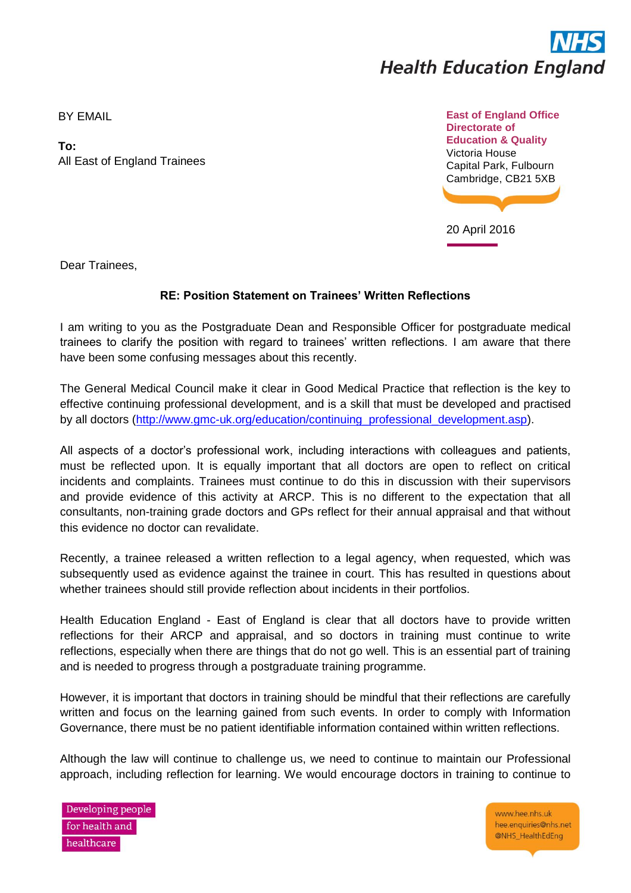

BY EMAIL

**To:** All East of England Trainees



20 April 2016

Dear Trainees,

## **RE: Position Statement on Trainees' Written Reflections**

I am writing to you as the Postgraduate Dean and Responsible Officer for postgraduate medical trainees to clarify the position with regard to trainees' written reflections. I am aware that there have been some confusing messages about this recently.

The General Medical Council make it clear in Good Medical Practice that reflection is the key to effective continuing professional development, and is a skill that must be developed and practised by all doctors [\(http://www.gmc-uk.org/education/continuing\\_professional\\_development.asp\)](http://www.gmc-uk.org/education/continuing_professional_development.asp).

All aspects of a doctor's professional work, including interactions with colleagues and patients, must be reflected upon. It is equally important that all doctors are open to reflect on critical incidents and complaints. Trainees must continue to do this in discussion with their supervisors and provide evidence of this activity at ARCP. This is no different to the expectation that all consultants, non-training grade doctors and GPs reflect for their annual appraisal and that without this evidence no doctor can revalidate.

Recently, a trainee released a written reflection to a legal agency, when requested, which was subsequently used as evidence against the trainee in court. This has resulted in questions about whether trainees should still provide reflection about incidents in their portfolios.

Health Education England - East of England is clear that all doctors have to provide written reflections for their ARCP and appraisal, and so doctors in training must continue to write reflections, especially when there are things that do not go well. This is an essential part of training and is needed to progress through a postgraduate training programme.

However, it is important that doctors in training should be mindful that their reflections are carefully written and focus on the learning gained from such events. In order to comply with Information Governance, there must be no patient identifiable information contained within written reflections.

Although the law will continue to challenge us, we need to continue to maintain our Professional approach, including reflection for learning. We would encourage doctors in training to continue to

Developing people for health and healthcare

www.hee.nhs.uk hee.enquiries@nhs.net @NHS\_HealthEdEng